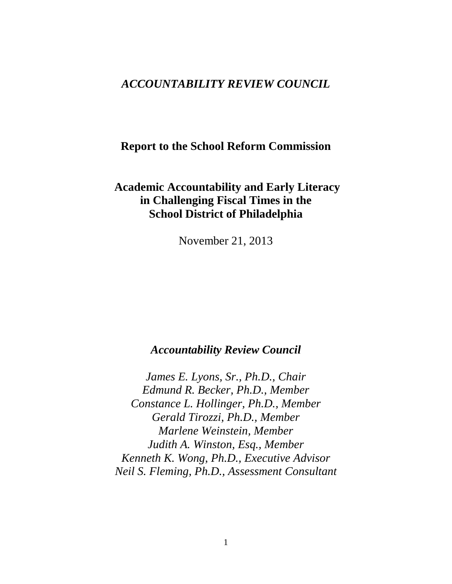# *ACCOUNTABILITY REVIEW COUNCIL*

## **Report to the School Reform Commission**

# **Academic Accountability and Early Literacy in Challenging Fiscal Times in the School District of Philadelphia**

November 21, 2013

## *Accountability Review Council*

*James E. Lyons, Sr., Ph.D., Chair Edmund R. Becker, Ph.D., Member Constance L. Hollinger, Ph.D., Member Gerald Tirozzi, Ph.D., Member Marlene Weinstein, Member Judith A. Winston, Esq., Member Kenneth K. Wong, Ph.D., Executive Advisor Neil S. Fleming, Ph.D., Assessment Consultant*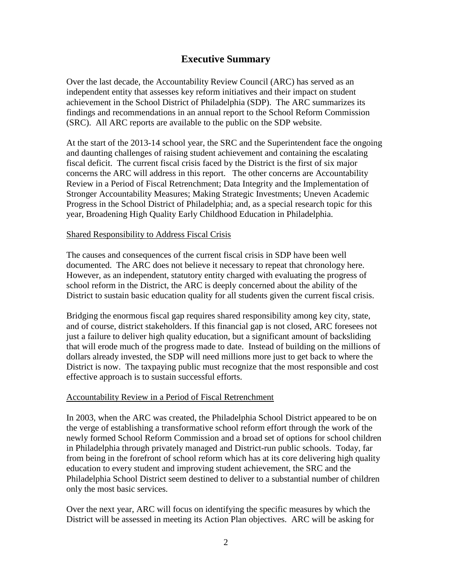## **Executive Summary**

Over the last decade, the Accountability Review Council (ARC) has served as an independent entity that assesses key reform initiatives and their impact on student achievement in the School District of Philadelphia (SDP). The ARC summarizes its findings and recommendations in an annual report to the School Reform Commission (SRC). All ARC reports are available to the public on the SDP website.

At the start of the 2013-14 school year, the SRC and the Superintendent face the ongoing and daunting challenges of raising student achievement and containing the escalating fiscal deficit. The current fiscal crisis faced by the District is the first of six major concerns the ARC will address in this report. The other concerns are Accountability Review in a Period of Fiscal Retrenchment; Data Integrity and the Implementation of Stronger Accountability Measures; Making Strategic Investments; Uneven Academic Progress in the School District of Philadelphia; and, as a special research topic for this year, Broadening High Quality Early Childhood Education in Philadelphia.

### Shared Responsibility to Address Fiscal Crisis

The causes and consequences of the current fiscal crisis in SDP have been well documented. The ARC does not believe it necessary to repeat that chronology here. However, as an independent, statutory entity charged with evaluating the progress of school reform in the District, the ARC is deeply concerned about the ability of the District to sustain basic education quality for all students given the current fiscal crisis.

Bridging the enormous fiscal gap requires shared responsibility among key city, state, and of course, district stakeholders. If this financial gap is not closed, ARC foresees not just a failure to deliver high quality education, but a significant amount of backsliding that will erode much of the progress made to date. Instead of building on the millions of dollars already invested, the SDP will need millions more just to get back to where the District is now. The taxpaying public must recognize that the most responsible and cost effective approach is to sustain successful efforts.

## Accountability Review in a Period of Fiscal Retrenchment

In 2003, when the ARC was created, the Philadelphia School District appeared to be on the verge of establishing a transformative school reform effort through the work of the newly formed School Reform Commission and a broad set of options for school children in Philadelphia through privately managed and District-run public schools. Today, far from being in the forefront of school reform which has at its core delivering high quality education to every student and improving student achievement, the SRC and the Philadelphia School District seem destined to deliver to a substantial number of children only the most basic services.

Over the next year, ARC will focus on identifying the specific measures by which the District will be assessed in meeting its Action Plan objectives. ARC will be asking for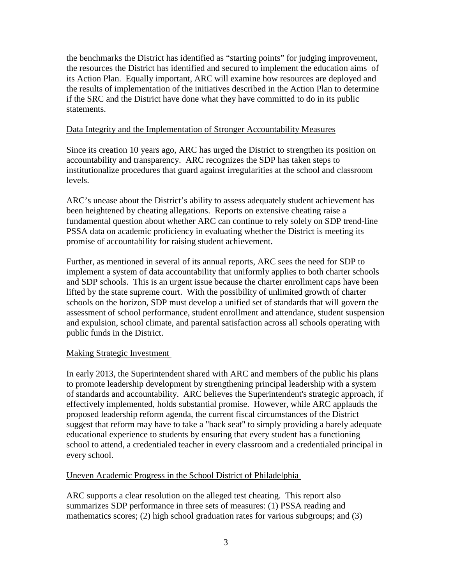the benchmarks the District has identified as "starting points" for judging improvement, the resources the District has identified and secured to implement the education aims of its Action Plan. Equally important, ARC will examine how resources are deployed and the results of implementation of the initiatives described in the Action Plan to determine if the SRC and the District have done what they have committed to do in its public statements.

### Data Integrity and the Implementation of Stronger Accountability Measures

Since its creation 10 years ago, ARC has urged the District to strengthen its position on accountability and transparency. ARC recognizes the SDP has taken steps to institutionalize procedures that guard against irregularities at the school and classroom levels.

ARC's unease about the District's ability to assess adequately student achievement has been heightened by cheating allegations. Reports on extensive cheating raise a fundamental question about whether ARC can continue to rely solely on SDP trend-line PSSA data on academic proficiency in evaluating whether the District is meeting its promise of accountability for raising student achievement.

Further, as mentioned in several of its annual reports, ARC sees the need for SDP to implement a system of data accountability that uniformly applies to both charter schools and SDP schools. This is an urgent issue because the charter enrollment caps have been lifted by the state supreme court. With the possibility of unlimited growth of charter schools on the horizon, SDP must develop a unified set of standards that will govern the assessment of school performance, student enrollment and attendance, student suspension and expulsion, school climate, and parental satisfaction across all schools operating with public funds in the District.

## Making Strategic Investment

In early 2013, the Superintendent shared with ARC and members of the public his plans to promote leadership development by strengthening principal leadership with a system of standards and accountability. ARC believes the Superintendent's strategic approach, if effectively implemented, holds substantial promise. However, while ARC applauds the proposed leadership reform agenda, the current fiscal circumstances of the District suggest that reform may have to take a "back seat" to simply providing a barely adequate educational experience to students by ensuring that every student has a functioning school to attend, a credentialed teacher in every classroom and a credentialed principal in every school.

## Uneven Academic Progress in the School District of Philadelphia

ARC supports a clear resolution on the alleged test cheating. This report also summarizes SDP performance in three sets of measures: (1) PSSA reading and mathematics scores; (2) high school graduation rates for various subgroups; and (3)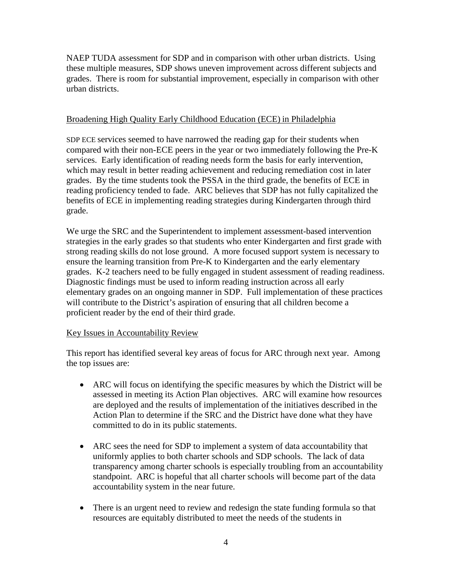NAEP TUDA assessment for SDP and in comparison with other urban districts. Using these multiple measures, SDP shows uneven improvement across different subjects and grades. There is room for substantial improvement, especially in comparison with other urban districts.

## Broadening High Quality Early Childhood Education (ECE) in Philadelphia

SDP ECE services seemed to have narrowed the reading gap for their students when compared with their non-ECE peers in the year or two immediately following the Pre-K services. Early identification of reading needs form the basis for early intervention, which may result in better reading achievement and reducing remediation cost in later grades. By the time students took the PSSA in the third grade, the benefits of ECE in reading proficiency tended to fade. ARC believes that SDP has not fully capitalized the benefits of ECE in implementing reading strategies during Kindergarten through third grade.

We urge the SRC and the Superintendent to implement assessment-based intervention strategies in the early grades so that students who enter Kindergarten and first grade with strong reading skills do not lose ground. A more focused support system is necessary to ensure the learning transition from Pre-K to Kindergarten and the early elementary grades. K-2 teachers need to be fully engaged in student assessment of reading readiness. Diagnostic findings must be used to inform reading instruction across all early elementary grades on an ongoing manner in SDP. Full implementation of these practices will contribute to the District's aspiration of ensuring that all children become a proficient reader by the end of their third grade.

## Key Issues in Accountability Review

This report has identified several key areas of focus for ARC through next year. Among the top issues are:

- ARC will focus on identifying the specific measures by which the District will be assessed in meeting its Action Plan objectives. ARC will examine how resources are deployed and the results of implementation of the initiatives described in the Action Plan to determine if the SRC and the District have done what they have committed to do in its public statements.
- ARC sees the need for SDP to implement a system of data accountability that uniformly applies to both charter schools and SDP schools. The lack of data transparency among charter schools is especially troubling from an accountability standpoint. ARC is hopeful that all charter schools will become part of the data accountability system in the near future.
- There is an urgent need to review and redesign the state funding formula so that resources are equitably distributed to meet the needs of the students in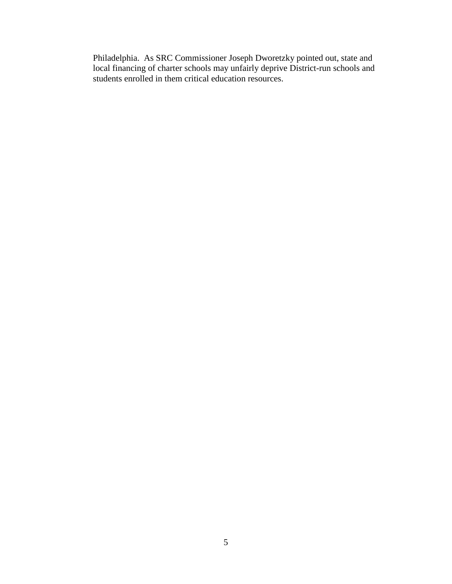Philadelphia. As SRC Commissioner Joseph Dworetzky pointed out, state and local financing of charter schools may unfairly deprive District-run schools and students enrolled in them critical education resources.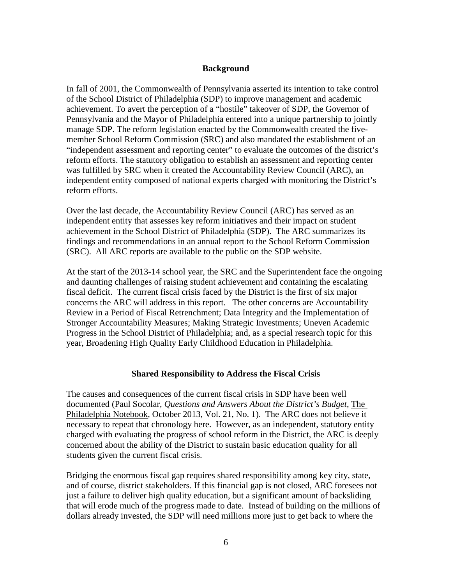### **Background**

In fall of 2001, the Commonwealth of Pennsylvania asserted its intention to take control of the School District of Philadelphia (SDP) to improve management and academic achievement. To avert the perception of a "hostile" takeover of SDP, the Governor of Pennsylvania and the Mayor of Philadelphia entered into a unique partnership to jointly manage SDP. The reform legislation enacted by the Commonwealth created the fivemember School Reform Commission (SRC) and also mandated the establishment of an "independent assessment and reporting center" to evaluate the outcomes of the district's reform efforts. The statutory obligation to establish an assessment and reporting center was fulfilled by SRC when it created the Accountability Review Council (ARC), an independent entity composed of national experts charged with monitoring the District's reform efforts.

Over the last decade, the Accountability Review Council (ARC) has served as an independent entity that assesses key reform initiatives and their impact on student achievement in the School District of Philadelphia (SDP). The ARC summarizes its findings and recommendations in an annual report to the School Reform Commission (SRC). All ARC reports are available to the public on the SDP website.

At the start of the 2013-14 school year, the SRC and the Superintendent face the ongoing and daunting challenges of raising student achievement and containing the escalating fiscal deficit. The current fiscal crisis faced by the District is the first of six major concerns the ARC will address in this report. The other concerns are Accountability Review in a Period of Fiscal Retrenchment; Data Integrity and the Implementation of Stronger Accountability Measures; Making Strategic Investments; Uneven Academic Progress in the School District of Philadelphia; and, as a special research topic for this year, Broadening High Quality Early Childhood Education in Philadelphia.

## **Shared Responsibility to Address the Fiscal Crisis**

The causes and consequences of the current fiscal crisis in SDP have been well documented (Paul Socolar, *Questions and Answers About the District's Budget*, The Philadelphia Notebook, October 2013, Vol. 21, No. 1). The ARC does not believe it necessary to repeat that chronology here. However, as an independent, statutory entity charged with evaluating the progress of school reform in the District, the ARC is deeply concerned about the ability of the District to sustain basic education quality for all students given the current fiscal crisis.

Bridging the enormous fiscal gap requires shared responsibility among key city, state, and of course, district stakeholders. If this financial gap is not closed, ARC foresees not just a failure to deliver high quality education, but a significant amount of backsliding that will erode much of the progress made to date. Instead of building on the millions of dollars already invested, the SDP will need millions more just to get back to where the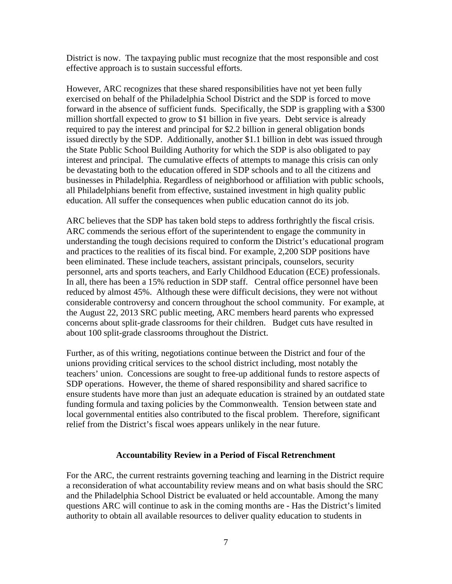District is now. The taxpaying public must recognize that the most responsible and cost effective approach is to sustain successful efforts.

However, ARC recognizes that these shared responsibilities have not yet been fully exercised on behalf of the Philadelphia School District and the SDP is forced to move forward in the absence of sufficient funds. Specifically, the SDP is grappling with a \$300 million shortfall expected to grow to \$1 billion in five years. Debt service is already required to pay the interest and principal for \$2.2 billion in general obligation bonds issued directly by the SDP. Additionally, another \$1.1 billion in debt was issued through the State Public School Building Authority for which the SDP is also obligated to pay interest and principal. The cumulative effects of attempts to manage this crisis can only be devastating both to the education offered in SDP schools and to all the citizens and businesses in Philadelphia. Regardless of neighborhood or affiliation with public schools, all Philadelphians benefit from effective, sustained investment in high quality public education. All suffer the consequences when public education cannot do its job.

ARC believes that the SDP has taken bold steps to address forthrightly the fiscal crisis. ARC commends the serious effort of the superintendent to engage the community in understanding the tough decisions required to conform the District's educational program and practices to the realities of its fiscal bind. For example, 2,200 SDP positions have been eliminated. These include teachers, assistant principals, counselors, security personnel, arts and sports teachers, and Early Childhood Education (ECE) professionals. In all, there has been a 15% reduction in SDP staff. Central office personnel have been reduced by almost 45%. Although these were difficult decisions, they were not without considerable controversy and concern throughout the school community. For example, at the August 22, 2013 SRC public meeting, ARC members heard parents who expressed concerns about split-grade classrooms for their children. Budget cuts have resulted in about 100 split-grade classrooms throughout the District.

Further, as of this writing, negotiations continue between the District and four of the unions providing critical services to the school district including, most notably the teachers' union. Concessions are sought to free-up additional funds to restore aspects of SDP operations. However, the theme of shared responsibility and shared sacrifice to ensure students have more than just an adequate education is strained by an outdated state funding formula and taxing policies by the Commonwealth. Tension between state and local governmental entities also contributed to the fiscal problem. Therefore, significant relief from the District's fiscal woes appears unlikely in the near future.

#### **Accountability Review in a Period of Fiscal Retrenchment**

For the ARC, the current restraints governing teaching and learning in the District require a reconsideration of what accountability review means and on what basis should the SRC and the Philadelphia School District be evaluated or held accountable. Among the many questions ARC will continue to ask in the coming months are - Has the District's limited authority to obtain all available resources to deliver quality education to students in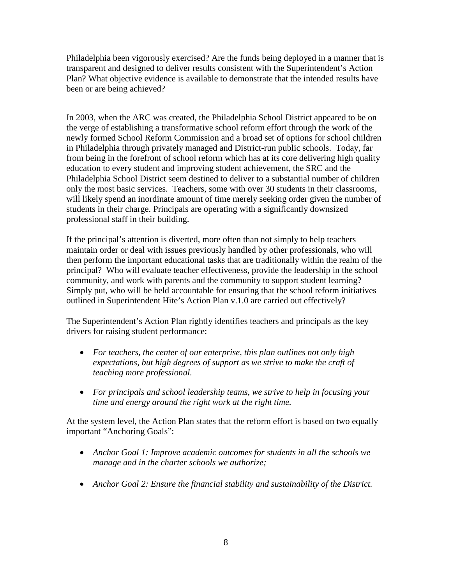Philadelphia been vigorously exercised? Are the funds being deployed in a manner that is transparent and designed to deliver results consistent with the Superintendent's Action Plan? What objective evidence is available to demonstrate that the intended results have been or are being achieved?

In 2003, when the ARC was created, the Philadelphia School District appeared to be on the verge of establishing a transformative school reform effort through the work of the newly formed School Reform Commission and a broad set of options for school children in Philadelphia through privately managed and District-run public schools. Today, far from being in the forefront of school reform which has at its core delivering high quality education to every student and improving student achievement, the SRC and the Philadelphia School District seem destined to deliver to a substantial number of children only the most basic services. Teachers, some with over 30 students in their classrooms, will likely spend an inordinate amount of time merely seeking order given the number of students in their charge. Principals are operating with a significantly downsized professional staff in their building.

If the principal's attention is diverted, more often than not simply to help teachers maintain order or deal with issues previously handled by other professionals, who will then perform the important educational tasks that are traditionally within the realm of the principal? Who will evaluate teacher effectiveness, provide the leadership in the school community, and work with parents and the community to support student learning? Simply put, who will be held accountable for ensuring that the school reform initiatives outlined in Superintendent Hite's Action Plan v.1.0 are carried out effectively?

The Superintendent's Action Plan rightly identifies teachers and principals as the key drivers for raising student performance:

- *For teachers, the center of our enterprise, this plan outlines not only high expectations, but high degrees of support as we strive to make the craft of teaching more professional.*
- *For principals and school leadership teams, we strive to help in focusing your time and energy around the right work at the right time.*

At the system level, the Action Plan states that the reform effort is based on two equally important "Anchoring Goals":

- *Anchor Goal 1: Improve academic outcomes for students in all the schools we manage and in the charter schools we authorize;*
- *Anchor Goal 2: Ensure the financial stability and sustainability of the District.*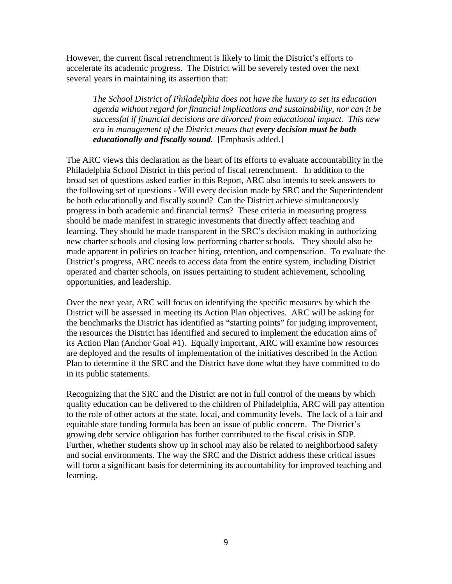However, the current fiscal retrenchment is likely to limit the District's efforts to accelerate its academic progress. The District will be severely tested over the next several years in maintaining its assertion that:

*The School District of Philadelphia does not have the luxury to set its education agenda without regard for financial implications and sustainability, nor can it be successful if financial decisions are divorced from educational impact. This new era in management of the District means that every decision must be both educationally and fiscally sound.* [Emphasis added.]

The ARC views this declaration as the heart of its efforts to evaluate accountability in the Philadelphia School District in this period of fiscal retrenchment. In addition to the broad set of questions asked earlier in this Report, ARC also intends to seek answers to the following set of questions - Will every decision made by SRC and the Superintendent be both educationally and fiscally sound? Can the District achieve simultaneously progress in both academic and financial terms? These criteria in measuring progress should be made manifest in strategic investments that directly affect teaching and learning. They should be made transparent in the SRC's decision making in authorizing new charter schools and closing low performing charter schools. They should also be made apparent in policies on teacher hiring, retention, and compensation. To evaluate the District's progress, ARC needs to access data from the entire system, including District operated and charter schools, on issues pertaining to student achievement, schooling opportunities, and leadership.

Over the next year, ARC will focus on identifying the specific measures by which the District will be assessed in meeting its Action Plan objectives. ARC will be asking for the benchmarks the District has identified as "starting points" for judging improvement, the resources the District has identified and secured to implement the education aims of its Action Plan (Anchor Goal #1). Equally important, ARC will examine how resources are deployed and the results of implementation of the initiatives described in the Action Plan to determine if the SRC and the District have done what they have committed to do in its public statements.

Recognizing that the SRC and the District are not in full control of the means by which quality education can be delivered to the children of Philadelphia, ARC will pay attention to the role of other actors at the state, local, and community levels. The lack of a fair and equitable state funding formula has been an issue of public concern. The District's growing debt service obligation has further contributed to the fiscal crisis in SDP. Further, whether students show up in school may also be related to neighborhood safety and social environments. The way the SRC and the District address these critical issues will form a significant basis for determining its accountability for improved teaching and learning.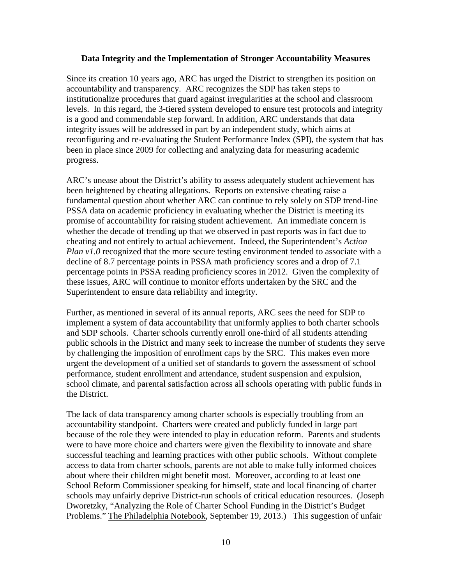#### **Data Integrity and the Implementation of Stronger Accountability Measures**

Since its creation 10 years ago, ARC has urged the District to strengthen its position on accountability and transparency. ARC recognizes the SDP has taken steps to institutionalize procedures that guard against irregularities at the school and classroom levels. In this regard, the 3-tiered system developed to ensure test protocols and integrity is a good and commendable step forward. In addition, ARC understands that data integrity issues will be addressed in part by an independent study, which aims at reconfiguring and re-evaluating the Student Performance Index (SPI), the system that has been in place since 2009 for collecting and analyzing data for measuring academic progress.

ARC's unease about the District's ability to assess adequately student achievement has been heightened by cheating allegations. Reports on extensive cheating raise a fundamental question about whether ARC can continue to rely solely on SDP trend-line PSSA data on academic proficiency in evaluating whether the District is meeting its promise of accountability for raising student achievement. An immediate concern is whether the decade of trending up that we observed in past reports was in fact due to cheating and not entirely to actual achievement. Indeed, the Superintendent's *Action Plan v1.0* recognized that the more secure testing environment tended to associate with a decline of 8.7 percentage points in PSSA math proficiency scores and a drop of 7.1 percentage points in PSSA reading proficiency scores in 2012. Given the complexity of these issues, ARC will continue to monitor efforts undertaken by the SRC and the Superintendent to ensure data reliability and integrity.

Further, as mentioned in several of its annual reports, ARC sees the need for SDP to implement a system of data accountability that uniformly applies to both charter schools and SDP schools. Charter schools currently enroll one-third of all students attending public schools in the District and many seek to increase the number of students they serve by challenging the imposition of enrollment caps by the SRC. This makes even more urgent the development of a unified set of standards to govern the assessment of school performance, student enrollment and attendance, student suspension and expulsion, school climate, and parental satisfaction across all schools operating with public funds in the District.

The lack of data transparency among charter schools is especially troubling from an accountability standpoint. Charters were created and publicly funded in large part because of the role they were intended to play in education reform. Parents and students were to have more choice and charters were given the flexibility to innovate and share successful teaching and learning practices with other public schools. Without complete access to data from charter schools, parents are not able to make fully informed choices about where their children might benefit most. Moreover, according to at least one School Reform Commissioner speaking for himself, state and local financing of charter schools may unfairly deprive District-run schools of critical education resources. (Joseph Dworetzky, "Analyzing the Role of Charter School Funding in the District's Budget Problems." The Philadelphia Notebook, September 19, 2013.) This suggestion of unfair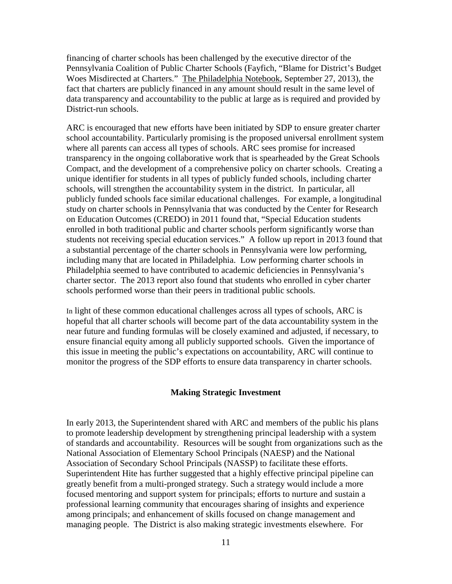financing of charter schools has been challenged by the executive director of the Pennsylvania Coalition of Public Charter Schools (Fayfich, "Blame for District's Budget Woes Misdirected at Charters." The Philadelphia Notebook, September 27, 2013), the fact that charters are publicly financed in any amount should result in the same level of data transparency and accountability to the public at large as is required and provided by District-run schools.

ARC is encouraged that new efforts have been initiated by SDP to ensure greater charter school accountability. Particularly promising is the proposed universal enrollment system where all parents can access all types of schools. ARC sees promise for increased transparency in the ongoing collaborative work that is spearheaded by the Great Schools Compact, and the development of a comprehensive policy on charter schools. Creating a unique identifier for students in all types of publicly funded schools, including charter schools, will strengthen the accountability system in the district. In particular, all publicly funded schools face similar educational challenges. For example, a longitudinal study on charter schools in Pennsylvania that was conducted by the Center for Research on Education Outcomes (CREDO) in 2011 found that, "Special Education students enrolled in both traditional public and charter schools perform significantly worse than students not receiving special education services." A follow up report in 2013 found that a substantial percentage of the charter schools in Pennsylvania were low performing, including many that are located in Philadelphia. Low performing charter schools in Philadelphia seemed to have contributed to academic deficiencies in Pennsylvania's charter sector. The 2013 report also found that students who enrolled in cyber charter schools performed worse than their peers in traditional public schools.

In light of these common educational challenges across all types of schools, ARC is hopeful that all charter schools will become part of the data accountability system in the near future and funding formulas will be closely examined and adjusted, if necessary, to ensure financial equity among all publicly supported schools. Given the importance of this issue in meeting the public's expectations on accountability, ARC will continue to monitor the progress of the SDP efforts to ensure data transparency in charter schools.

#### **Making Strategic Investment**

In early 2013, the Superintendent shared with ARC and members of the public his plans to promote leadership development by strengthening principal leadership with a system of standards and accountability. Resources will be sought from organizations such as the National Association of Elementary School Principals (NAESP) and the National Association of Secondary School Principals (NASSP) to facilitate these efforts. Superintendent Hite has further suggested that a highly effective principal pipeline can greatly benefit from a multi-pronged strategy. Such a strategy would include a more focused mentoring and support system for principals; efforts to nurture and sustain a professional learning community that encourages sharing of insights and experience among principals; and enhancement of skills focused on change management and managing people. The District is also making strategic investments elsewhere. For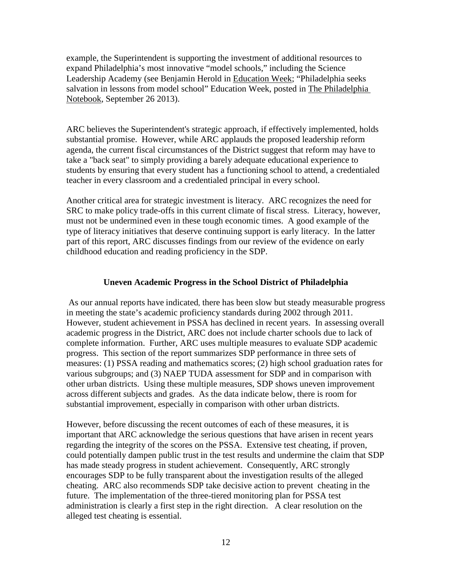example, the Superintendent is supporting the investment of additional resources to expand Philadelphia's most innovative "model schools," including the Science Leadership Academy (see Benjamin Herold in Education Week; "Philadelphia seeks salvation in lessons from model school" Education Week, posted in The Philadelphia Notebook, September 26 2013).

ARC believes the Superintendent's strategic approach, if effectively implemented, holds substantial promise. However, while ARC applauds the proposed leadership reform agenda, the current fiscal circumstances of the District suggest that reform may have to take a "back seat" to simply providing a barely adequate educational experience to students by ensuring that every student has a functioning school to attend, a credentialed teacher in every classroom and a credentialed principal in every school.

Another critical area for strategic investment is literacy. ARC recognizes the need for SRC to make policy trade-offs in this current climate of fiscal stress. Literacy, however, must not be undermined even in these tough economic times. A good example of the type of literacy initiatives that deserve continuing support is early literacy. In the latter part of this report, ARC discusses findings from our review of the evidence on early childhood education and reading proficiency in the SDP.

#### **Uneven Academic Progress in the School District of Philadelphia**

As our annual reports have indicated, there has been slow but steady measurable progress in meeting the state's academic proficiency standards during 2002 through 2011. However, student achievement in PSSA has declined in recent years. In assessing overall academic progress in the District, ARC does not include charter schools due to lack of complete information. Further, ARC uses multiple measures to evaluate SDP academic progress. This section of the report summarizes SDP performance in three sets of measures: (1) PSSA reading and mathematics scores; (2) high school graduation rates for various subgroups; and (3) NAEP TUDA assessment for SDP and in comparison with other urban districts. Using these multiple measures, SDP shows uneven improvement across different subjects and grades. As the data indicate below, there is room for substantial improvement, especially in comparison with other urban districts.

However, before discussing the recent outcomes of each of these measures, it is important that ARC acknowledge the serious questions that have arisen in recent years regarding the integrity of the scores on the PSSA. Extensive test cheating, if proven, could potentially dampen public trust in the test results and undermine the claim that SDP has made steady progress in student achievement. Consequently, ARC strongly encourages SDP to be fully transparent about the investigation results of the alleged cheating. ARC also recommends SDP take decisive action to prevent cheating in the future. The implementation of the three-tiered monitoring plan for PSSA test administration is clearly a first step in the right direction. A clear resolution on the alleged test cheating is essential.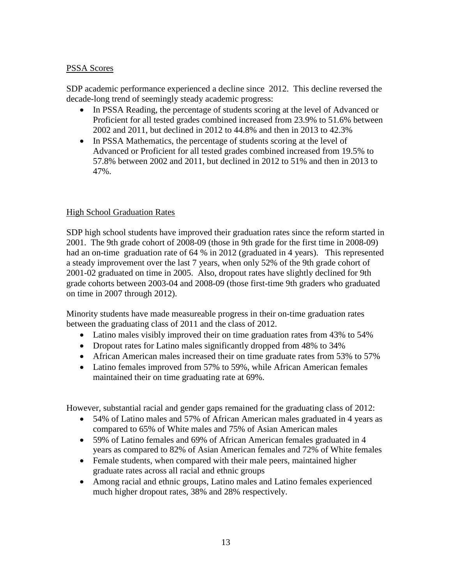## PSSA Scores

SDP academic performance experienced a decline since 2012. This decline reversed the decade-long trend of seemingly steady academic progress:

- In PSSA Reading, the percentage of students scoring at the level of Advanced or Proficient for all tested grades combined increased from 23.9% to 51.6% between 2002 and 2011, but declined in 2012 to 44.8% and then in 2013 to 42.3%
- In PSSA Mathematics, the percentage of students scoring at the level of Advanced or Proficient for all tested grades combined increased from 19.5% to 57.8% between 2002 and 2011, but declined in 2012 to 51% and then in 2013 to 47%.

## High School Graduation Rates

SDP high school students have improved their graduation rates since the reform started in 2001. The 9th grade cohort of 2008-09 (those in 9th grade for the first time in 2008-09) had an on-time graduation rate of 64 % in 2012 (graduated in 4 years). This represented a steady improvement over the last 7 years, when only 52% of the 9th grade cohort of 2001-02 graduated on time in 2005. Also, dropout rates have slightly declined for 9th grade cohorts between 2003-04 and 2008-09 (those first-time 9th graders who graduated on time in 2007 through 2012).

Minority students have made measureable progress in their on-time graduation rates between the graduating class of 2011 and the class of 2012.

- Latino males visibly improved their on time graduation rates from 43% to 54%
- Dropout rates for Latino males significantly dropped from 48% to 34%
- African American males increased their on time graduate rates from 53% to 57%
- Latino females improved from 57% to 59%, while African American females maintained their on time graduating rate at 69%.

However, substantial racial and gender gaps remained for the graduating class of 2012:

- 54% of Latino males and 57% of African American males graduated in 4 years as compared to 65% of White males and 75% of Asian American males
- 59% of Latino females and 69% of African American females graduated in 4 years as compared to 82% of Asian American females and 72% of White females
- Female students, when compared with their male peers, maintained higher graduate rates across all racial and ethnic groups
- Among racial and ethnic groups, Latino males and Latino females experienced much higher dropout rates, 38% and 28% respectively.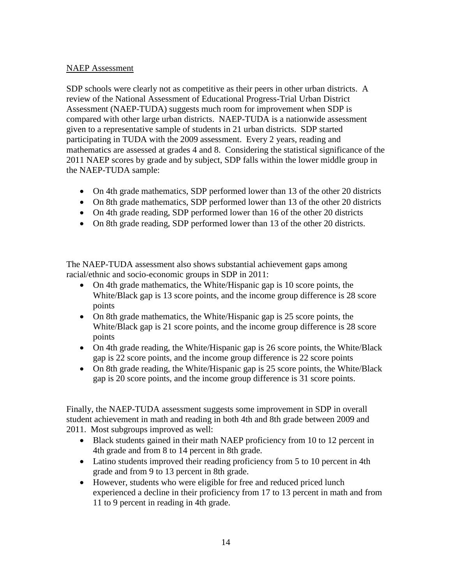## NAEP Assessment

SDP schools were clearly not as competitive as their peers in other urban districts. A review of the National Assessment of Educational Progress-Trial Urban District Assessment (NAEP-TUDA) suggests much room for improvement when SDP is compared with other large urban districts. NAEP-TUDA is a nationwide assessment given to a representative sample of students in 21 urban districts. SDP started participating in TUDA with the 2009 assessment. Every 2 years, reading and mathematics are assessed at grades 4 and 8. Considering the statistical significance of the 2011 NAEP scores by grade and by subject, SDP falls within the lower middle group in the NAEP-TUDA sample:

- On 4th grade mathematics, SDP performed lower than 13 of the other 20 districts
- On 8th grade mathematics, SDP performed lower than 13 of the other 20 districts
- On 4th grade reading, SDP performed lower than 16 of the other 20 districts
- On 8th grade reading, SDP performed lower than 13 of the other 20 districts.

The NAEP-TUDA assessment also shows substantial achievement gaps among racial/ethnic and socio-economic groups in SDP in 2011:

- On 4th grade mathematics, the White/Hispanic gap is 10 score points, the White/Black gap is 13 score points, and the income group difference is 28 score points
- On 8th grade mathematics, the White/Hispanic gap is 25 score points, the White/Black gap is 21 score points, and the income group difference is 28 score points
- On 4th grade reading, the White/Hispanic gap is 26 score points, the White/Black gap is 22 score points, and the income group difference is 22 score points
- On 8th grade reading, the White/Hispanic gap is 25 score points, the White/Black gap is 20 score points, and the income group difference is 31 score points.

Finally, the NAEP-TUDA assessment suggests some improvement in SDP in overall student achievement in math and reading in both 4th and 8th grade between 2009 and 2011. Most subgroups improved as well:

- Black students gained in their math NAEP proficiency from 10 to 12 percent in 4th grade and from 8 to 14 percent in 8th grade.
- Latino students improved their reading proficiency from 5 to 10 percent in 4th grade and from 9 to 13 percent in 8th grade.
- However, students who were eligible for free and reduced priced lunch experienced a decline in their proficiency from 17 to 13 percent in math and from 11 to 9 percent in reading in 4th grade.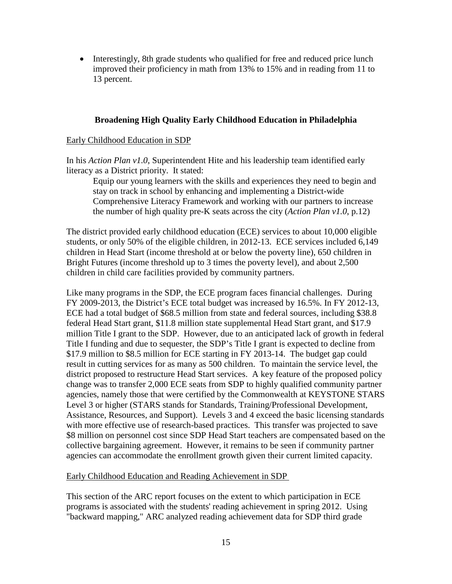• Interestingly, 8th grade students who qualified for free and reduced price lunch improved their proficiency in math from 13% to 15% and in reading from 11 to 13 percent.

## **Broadening High Quality Early Childhood Education in Philadelphia**

### Early Childhood Education in SDP

In his *Action Plan v1.0*, Superintendent Hite and his leadership team identified early literacy as a District priority. It stated:

Equip our young learners with the skills and experiences they need to begin and stay on track in school by enhancing and implementing a District-wide Comprehensive Literacy Framework and working with our partners to increase the number of high quality pre-K seats across the city (*Action Plan v1.0*, p.12)

The district provided early childhood education (ECE) services to about 10,000 eligible students, or only 50% of the eligible children, in 2012-13. ECE services included 6,149 children in Head Start (income threshold at or below the poverty line), 650 children in Bright Futures (income threshold up to 3 times the poverty level), and about 2,500 children in child care facilities provided by community partners.

Like many programs in the SDP, the ECE program faces financial challenges. During FY 2009-2013, the District's ECE total budget was increased by 16.5%. In FY 2012-13, ECE had a total budget of \$68.5 million from state and federal sources, including \$38.8 federal Head Start grant, \$11.8 million state supplemental Head Start grant, and \$17.9 million Title I grant to the SDP. However, due to an anticipated lack of growth in federal Title I funding and due to sequester, the SDP's Title I grant is expected to decline from \$17.9 million to \$8.5 million for ECE starting in FY 2013-14. The budget gap could result in cutting services for as many as 500 children. To maintain the service level, the district proposed to restructure Head Start services. A key feature of the proposed policy change was to transfer 2,000 ECE seats from SDP to highly qualified community partner agencies, namely those that were certified by the Commonwealth at KEYSTONE STARS Level 3 or higher (STARS stands for Standards, Training/Professional Development, Assistance, Resources, and Support). Levels 3 and 4 exceed the basic licensing standards with more effective use of research-based practices. This transfer was projected to save \$8 million on personnel cost since SDP Head Start teachers are compensated based on the collective bargaining agreement. However, it remains to be seen if community partner agencies can accommodate the enrollment growth given their current limited capacity.

#### Early Childhood Education and Reading Achievement in SDP

This section of the ARC report focuses on the extent to which participation in ECE programs is associated with the students' reading achievement in spring 2012. Using "backward mapping," ARC analyzed reading achievement data for SDP third grade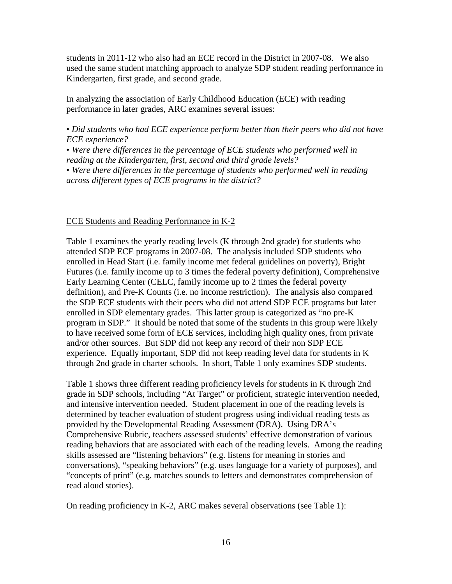students in 2011-12 who also had an ECE record in the District in 2007-08. We also used the same student matching approach to analyze SDP student reading performance in Kindergarten, first grade, and second grade.

In analyzing the association of Early Childhood Education (ECE) with reading performance in later grades, ARC examines several issues:

• *Did students who had ECE experience perform better than their peers who did not have ECE experience?* 

• *Were there differences in the percentage of ECE students who performed well in reading at the Kindergarten, first, second and third grade levels?* 

• *Were there differences in the percentage of students who performed well in reading across different types of ECE programs in the district?* 

#### ECE Students and Reading Performance in K-2

Table 1 examines the yearly reading levels (K through 2nd grade) for students who attended SDP ECE programs in 2007-08. The analysis included SDP students who enrolled in Head Start (i.e. family income met federal guidelines on poverty), Bright Futures (i.e. family income up to 3 times the federal poverty definition), Comprehensive Early Learning Center (CELC, family income up to 2 times the federal poverty definition), and Pre-K Counts (i.e. no income restriction). The analysis also compared the SDP ECE students with their peers who did not attend SDP ECE programs but later enrolled in SDP elementary grades. This latter group is categorized as "no pre-K program in SDP." It should be noted that some of the students in this group were likely to have received some form of ECE services, including high quality ones, from private and/or other sources. But SDP did not keep any record of their non SDP ECE experience. Equally important, SDP did not keep reading level data for students in K through 2nd grade in charter schools. In short, Table 1 only examines SDP students.

Table 1 shows three different reading proficiency levels for students in K through 2nd grade in SDP schools, including "At Target" or proficient, strategic intervention needed, and intensive intervention needed. Student placement in one of the reading levels is determined by teacher evaluation of student progress using individual reading tests as provided by the Developmental Reading Assessment (DRA). Using DRA's Comprehensive Rubric, teachers assessed students' effective demonstration of various reading behaviors that are associated with each of the reading levels. Among the reading skills assessed are "listening behaviors" (e.g. listens for meaning in stories and conversations), "speaking behaviors" (e.g. uses language for a variety of purposes), and "concepts of print" (e.g. matches sounds to letters and demonstrates comprehension of read aloud stories).

On reading proficiency in K-2, ARC makes several observations (see Table 1):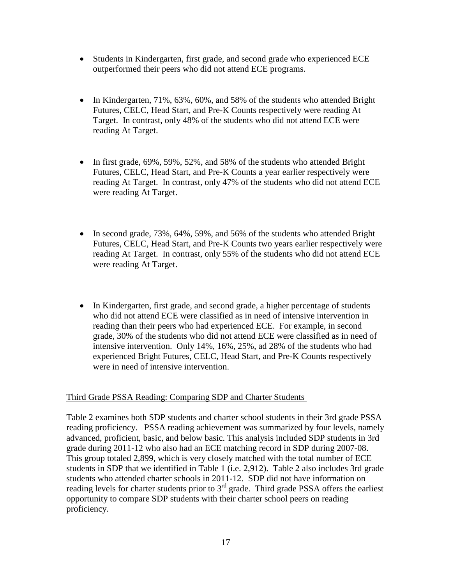- Students in Kindergarten, first grade, and second grade who experienced ECE outperformed their peers who did not attend ECE programs.
- In Kindergarten, 71%, 63%, 60%, and 58% of the students who attended Bright Futures, CELC, Head Start, and Pre-K Counts respectively were reading At Target. In contrast, only 48% of the students who did not attend ECE were reading At Target.
- In first grade, 69%, 59%, 52%, and 58% of the students who attended Bright Futures, CELC, Head Start, and Pre-K Counts a year earlier respectively were reading At Target. In contrast, only 47% of the students who did not attend ECE were reading At Target.
- In second grade, 73%, 64%, 59%, and 56% of the students who attended Bright Futures, CELC, Head Start, and Pre-K Counts two years earlier respectively were reading At Target. In contrast, only 55% of the students who did not attend ECE were reading At Target.
- In Kindergarten, first grade, and second grade, a higher percentage of students who did not attend ECE were classified as in need of intensive intervention in reading than their peers who had experienced ECE. For example, in second grade, 30% of the students who did not attend ECE were classified as in need of intensive intervention. Only 14%, 16%, 25%, ad 28% of the students who had experienced Bright Futures, CELC, Head Start, and Pre-K Counts respectively were in need of intensive intervention.

## Third Grade PSSA Reading: Comparing SDP and Charter Students

Table 2 examines both SDP students and charter school students in their 3rd grade PSSA reading proficiency. PSSA reading achievement was summarized by four levels, namely advanced, proficient, basic, and below basic. This analysis included SDP students in 3rd grade during 2011-12 who also had an ECE matching record in SDP during 2007-08. This group totaled 2,899, which is very closely matched with the total number of ECE students in SDP that we identified in Table 1 (i.e. 2,912). Table 2 also includes 3rd grade students who attended charter schools in 2011-12. SDP did not have information on reading levels for charter students prior to  $3<sup>rd</sup>$  grade. Third grade PSSA offers the earliest opportunity to compare SDP students with their charter school peers on reading proficiency.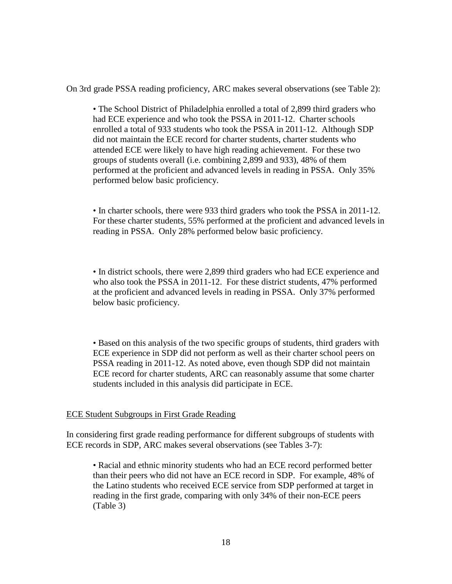On 3rd grade PSSA reading proficiency, ARC makes several observations (see Table 2):

• The School District of Philadelphia enrolled a total of 2,899 third graders who had ECE experience and who took the PSSA in 2011-12. Charter schools enrolled a total of 933 students who took the PSSA in 2011-12. Although SDP did not maintain the ECE record for charter students, charter students who attended ECE were likely to have high reading achievement. For these two groups of students overall (i.e. combining 2,899 and 933), 48% of them performed at the proficient and advanced levels in reading in PSSA. Only 35% performed below basic proficiency.

• In charter schools, there were 933 third graders who took the PSSA in 2011-12. For these charter students, 55% performed at the proficient and advanced levels in reading in PSSA. Only 28% performed below basic proficiency.

• In district schools, there were 2,899 third graders who had ECE experience and who also took the PSSA in 2011-12. For these district students, 47% performed at the proficient and advanced levels in reading in PSSA. Only 37% performed below basic proficiency.

• Based on this analysis of the two specific groups of students, third graders with ECE experience in SDP did not perform as well as their charter school peers on PSSA reading in 2011-12. As noted above, even though SDP did not maintain ECE record for charter students, ARC can reasonably assume that some charter students included in this analysis did participate in ECE.

## ECE Student Subgroups in First Grade Reading

In considering first grade reading performance for different subgroups of students with ECE records in SDP, ARC makes several observations (see Tables 3-7):

• Racial and ethnic minority students who had an ECE record performed better than their peers who did not have an ECE record in SDP. For example, 48% of the Latino students who received ECE service from SDP performed at target in reading in the first grade, comparing with only 34% of their non-ECE peers (Table 3)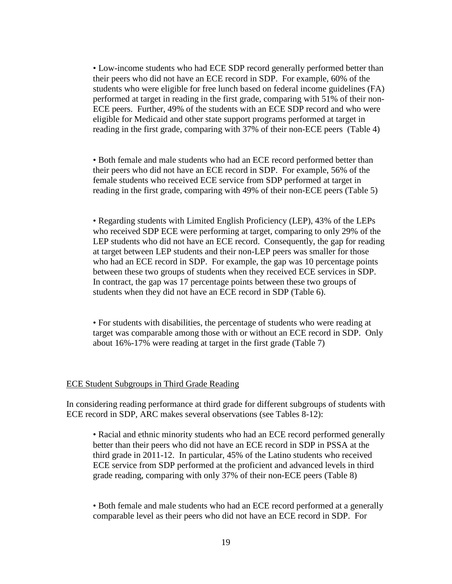• Low-income students who had ECE SDP record generally performed better than their peers who did not have an ECE record in SDP. For example, 60% of the students who were eligible for free lunch based on federal income guidelines (FA) performed at target in reading in the first grade, comparing with 51% of their non-ECE peers. Further, 49% of the students with an ECE SDP record and who were eligible for Medicaid and other state support programs performed at target in reading in the first grade, comparing with 37% of their non-ECE peers (Table 4)

• Both female and male students who had an ECE record performed better than their peers who did not have an ECE record in SDP. For example, 56% of the female students who received ECE service from SDP performed at target in reading in the first grade, comparing with 49% of their non-ECE peers (Table 5)

• Regarding students with Limited English Proficiency (LEP), 43% of the LEPs who received SDP ECE were performing at target, comparing to only 29% of the LEP students who did not have an ECE record. Consequently, the gap for reading at target between LEP students and their non-LEP peers was smaller for those who had an ECE record in SDP. For example, the gap was 10 percentage points between these two groups of students when they received ECE services in SDP. In contract, the gap was 17 percentage points between these two groups of students when they did not have an ECE record in SDP (Table 6).

• For students with disabilities, the percentage of students who were reading at target was comparable among those with or without an ECE record in SDP. Only about 16%-17% were reading at target in the first grade (Table 7)

#### ECE Student Subgroups in Third Grade Reading

In considering reading performance at third grade for different subgroups of students with ECE record in SDP, ARC makes several observations (see Tables 8-12):

• Racial and ethnic minority students who had an ECE record performed generally better than their peers who did not have an ECE record in SDP in PSSA at the third grade in 2011-12. In particular, 45% of the Latino students who received ECE service from SDP performed at the proficient and advanced levels in third grade reading, comparing with only 37% of their non-ECE peers (Table 8)

• Both female and male students who had an ECE record performed at a generally comparable level as their peers who did not have an ECE record in SDP. For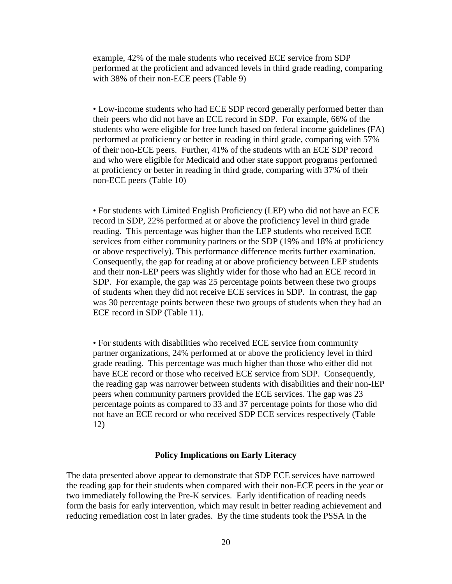example, 42% of the male students who received ECE service from SDP performed at the proficient and advanced levels in third grade reading, comparing with 38% of their non-ECE peers (Table 9)

• Low-income students who had ECE SDP record generally performed better than their peers who did not have an ECE record in SDP. For example, 66% of the students who were eligible for free lunch based on federal income guidelines (FA) performed at proficiency or better in reading in third grade, comparing with 57% of their non-ECE peers. Further, 41% of the students with an ECE SDP record and who were eligible for Medicaid and other state support programs performed at proficiency or better in reading in third grade, comparing with 37% of their non-ECE peers (Table 10)

• For students with Limited English Proficiency (LEP) who did not have an ECE record in SDP, 22% performed at or above the proficiency level in third grade reading. This percentage was higher than the LEP students who received ECE services from either community partners or the SDP (19% and 18% at proficiency or above respectively). This performance difference merits further examination. Consequently, the gap for reading at or above proficiency between LEP students and their non-LEP peers was slightly wider for those who had an ECE record in SDP. For example, the gap was 25 percentage points between these two groups of students when they did not receive ECE services in SDP. In contrast, the gap was 30 percentage points between these two groups of students when they had an ECE record in SDP (Table 11).

• For students with disabilities who received ECE service from community partner organizations, 24% performed at or above the proficiency level in third grade reading. This percentage was much higher than those who either did not have ECE record or those who received ECE service from SDP. Consequently, the reading gap was narrower between students with disabilities and their non-IEP peers when community partners provided the ECE services. The gap was 23 percentage points as compared to 33 and 37 percentage points for those who did not have an ECE record or who received SDP ECE services respectively (Table 12)

#### **Policy Implications on Early Literacy**

The data presented above appear to demonstrate that SDP ECE services have narrowed the reading gap for their students when compared with their non-ECE peers in the year or two immediately following the Pre-K services. Early identification of reading needs form the basis for early intervention, which may result in better reading achievement and reducing remediation cost in later grades. By the time students took the PSSA in the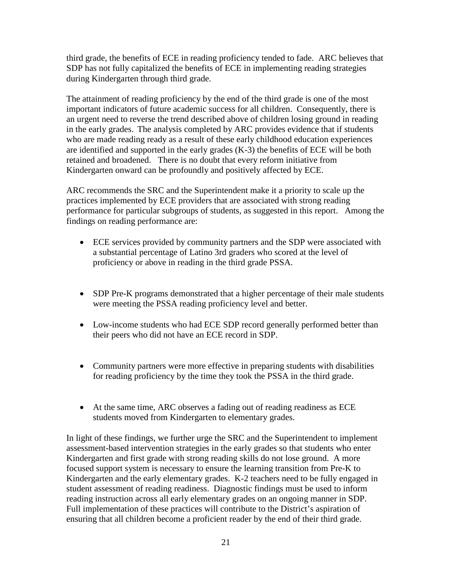third grade, the benefits of ECE in reading proficiency tended to fade. ARC believes that SDP has not fully capitalized the benefits of ECE in implementing reading strategies during Kindergarten through third grade.

The attainment of reading proficiency by the end of the third grade is one of the most important indicators of future academic success for all children. Consequently, there is an urgent need to reverse the trend described above of children losing ground in reading in the early grades. The analysis completed by ARC provides evidence that if students who are made reading ready as a result of these early childhood education experiences are identified and supported in the early grades (K-3) the benefits of ECE will be both retained and broadened. There is no doubt that every reform initiative from Kindergarten onward can be profoundly and positively affected by ECE.

ARC recommends the SRC and the Superintendent make it a priority to scale up the practices implemented by ECE providers that are associated with strong reading performance for particular subgroups of students, as suggested in this report. Among the findings on reading performance are:

- ECE services provided by community partners and the SDP were associated with a substantial percentage of Latino 3rd graders who scored at the level of proficiency or above in reading in the third grade PSSA.
- SDP Pre-K programs demonstrated that a higher percentage of their male students were meeting the PSSA reading proficiency level and better.
- Low-income students who had ECE SDP record generally performed better than their peers who did not have an ECE record in SDP.
- Community partners were more effective in preparing students with disabilities for reading proficiency by the time they took the PSSA in the third grade.
- At the same time, ARC observes a fading out of reading readiness as ECE students moved from Kindergarten to elementary grades.

In light of these findings, we further urge the SRC and the Superintendent to implement assessment-based intervention strategies in the early grades so that students who enter Kindergarten and first grade with strong reading skills do not lose ground. A more focused support system is necessary to ensure the learning transition from Pre-K to Kindergarten and the early elementary grades. K-2 teachers need to be fully engaged in student assessment of reading readiness. Diagnostic findings must be used to inform reading instruction across all early elementary grades on an ongoing manner in SDP. Full implementation of these practices will contribute to the District's aspiration of ensuring that all children become a proficient reader by the end of their third grade.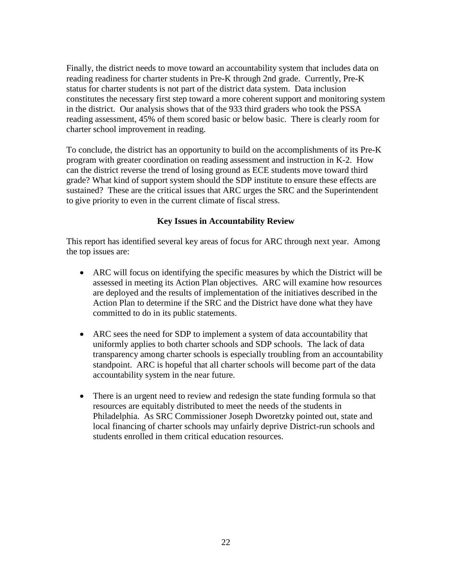Finally, the district needs to move toward an accountability system that includes data on reading readiness for charter students in Pre-K through 2nd grade. Currently, Pre-K status for charter students is not part of the district data system. Data inclusion constitutes the necessary first step toward a more coherent support and monitoring system in the district. Our analysis shows that of the 933 third graders who took the PSSA reading assessment, 45% of them scored basic or below basic. There is clearly room for charter school improvement in reading.

To conclude, the district has an opportunity to build on the accomplishments of its Pre-K program with greater coordination on reading assessment and instruction in K-2. How can the district reverse the trend of losing ground as ECE students move toward third grade? What kind of support system should the SDP institute to ensure these effects are sustained? These are the critical issues that ARC urges the SRC and the Superintendent to give priority to even in the current climate of fiscal stress.

## **Key Issues in Accountability Review**

This report has identified several key areas of focus for ARC through next year. Among the top issues are:

- ARC will focus on identifying the specific measures by which the District will be assessed in meeting its Action Plan objectives. ARC will examine how resources are deployed and the results of implementation of the initiatives described in the Action Plan to determine if the SRC and the District have done what they have committed to do in its public statements.
- ARC sees the need for SDP to implement a system of data accountability that uniformly applies to both charter schools and SDP schools. The lack of data transparency among charter schools is especially troubling from an accountability standpoint. ARC is hopeful that all charter schools will become part of the data accountability system in the near future.
- There is an urgent need to review and redesign the state funding formula so that resources are equitably distributed to meet the needs of the students in Philadelphia. As SRC Commissioner Joseph Dworetzky pointed out, state and local financing of charter schools may unfairly deprive District-run schools and students enrolled in them critical education resources.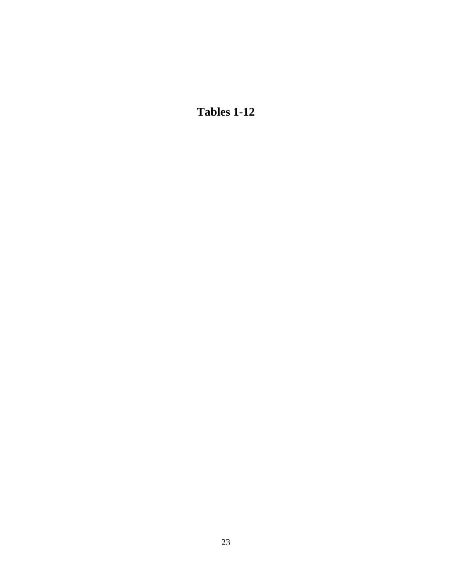**Tables 1-12**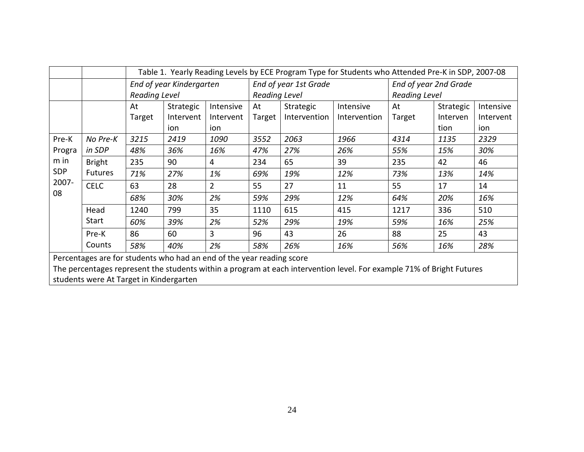|        |                |               | Table 1. Yearly Reading Levels by ECE Program Type for Students who Attended Pre-K in SDP, 2007-08 |                |                      |                       |              |                       |               |           |  |
|--------|----------------|---------------|----------------------------------------------------------------------------------------------------|----------------|----------------------|-----------------------|--------------|-----------------------|---------------|-----------|--|
|        |                |               | End of year Kindergarten                                                                           |                |                      | End of year 1st Grade |              | End of year 2nd Grade |               |           |  |
|        |                | Reading Level |                                                                                                    |                | <b>Reading Level</b> |                       |              |                       | Reading Level |           |  |
|        |                | At            | Strategic                                                                                          | Intensive      | At                   | Strategic             | Intensive    | At                    | Strategic     | Intensive |  |
|        |                | Target        | Intervent                                                                                          | Intervent      | Target               | Intervention          | Intervention | Target                | Interven      | Intervent |  |
|        |                |               | ion                                                                                                | ion            |                      |                       |              |                       | tion          | ion       |  |
| Pre-K  | No Pre-K       | 3215          | 2419                                                                                               | 1090           | 3552                 | 2063                  | 1966         | 4314                  | 1135          | 2329      |  |
| Progra | in SDP         | 48%           | 36%                                                                                                | 16%            | 47%                  | 27%                   | 26%          | 55%                   | 15%           | 30%       |  |
| m in   | <b>Bright</b>  | 235           | 90                                                                                                 | 4              | 234                  | 65                    | 39           | 235                   | 42            | 46        |  |
| SDP    | <b>Futures</b> | 71%           | 27%                                                                                                | 1%             | 69%                  | 19%                   | 12%          | 73%                   | 13%           | 14%       |  |
| 2007-  | <b>CELC</b>    | 63            | 28                                                                                                 | $\overline{2}$ | 55                   | 27                    | 11           | 55                    | 17            | 14        |  |
| 08     |                | 68%           | 30%                                                                                                | 2%             | 59%                  | 29%                   | 12%          | 64%                   | 20%           | 16%       |  |
|        | Head           | 1240          | 799                                                                                                | 35             | 1110                 | 615                   | 415          | 1217                  | 336           | 510       |  |
|        | Start          | 60%           | 39%                                                                                                | 2%             | 52%                  | 29%                   | 19%          | 59%                   | 16%           | 25%       |  |
|        | Pre-K          | 86            | 60                                                                                                 | 3              | 96                   | 43                    | 26           | 88                    | 25            | 43        |  |
|        | Counts         | 58%           | 40%                                                                                                | 2%             | 58%                  | 26%                   | 16%          | 56%                   | 16%           | 28%       |  |

Percentages are for students who had an end of the year reading score

The percentages represent the students within a program at each intervention level. For example 71% of Bright Futures students were At Target in Kindergarten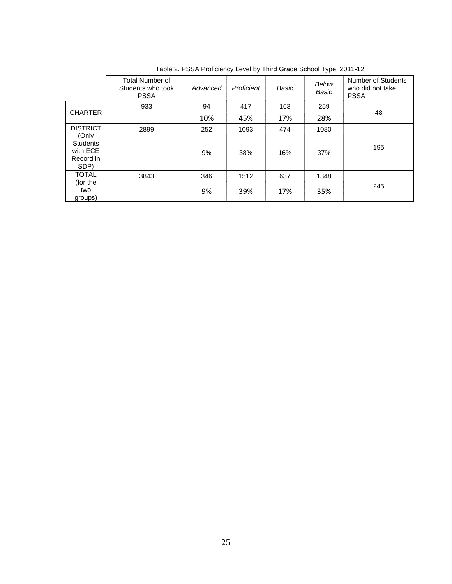|                                                  | Total Number of<br>Students who took<br><b>PSSA</b> | Advanced | Proficient | Basic | Below<br>Basic | Number of Students<br>who did not take<br><b>PSSA</b> |
|--------------------------------------------------|-----------------------------------------------------|----------|------------|-------|----------------|-------------------------------------------------------|
| <b>CHARTER</b>                                   | 933                                                 | 94       | 417        | 163   | 259            |                                                       |
|                                                  |                                                     | 10%      | 45%        | 17%   | 28%            | 48                                                    |
| <b>DISTRICT</b><br>(Only                         | 2899                                                | 252      | 1093       | 474   | 1080           |                                                       |
| <b>Students</b><br>with ECE<br>Record in<br>SDP) |                                                     | 9%       | 38%        | 16%   | 37%            | 195                                                   |
| <b>TOTAL</b><br>(for the                         | 3843                                                | 346      | 1512       | 637   | 1348           |                                                       |
| two<br>groups)                                   |                                                     | 9%       | 39%        | 17%   | 35%            | 245                                                   |

Table 2. PSSA Proficiency Level by Third Grade School Type, 2011-12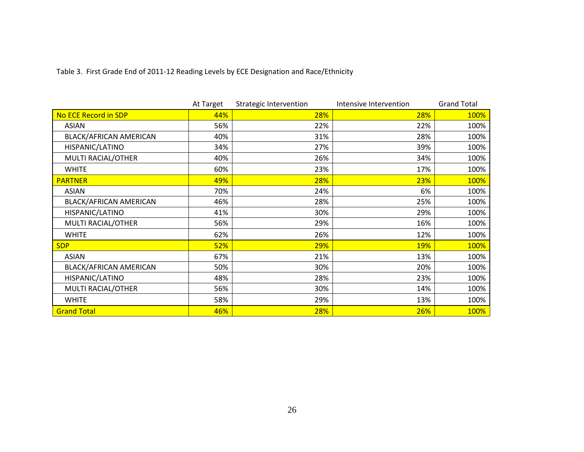Table 3. First Grade End of 2011-12 Reading Levels by ECE Designation and Race/Ethnicity

|                        | At Target | <b>Strategic Intervention</b> | Intensive Intervention | <b>Grand Total</b> |
|------------------------|-----------|-------------------------------|------------------------|--------------------|
| No ECE Record in SDP   | 44%       | 28%                           | 28%                    | 100%               |
| <b>ASIAN</b>           | 56%       | 22%                           | 22%                    | 100%               |
| BLACK/AFRICAN AMERICAN | 40%       | 31%                           | 28%                    | 100%               |
| HISPANIC/LATINO        | 34%       | 27%                           | 39%                    | 100%               |
| MULTI RACIAL/OTHER     | 40%       | 26%                           | 34%                    | 100%               |
| <b>WHITE</b>           | 60%       | 23%                           | 17%                    | 100%               |
| <b>PARTNER</b>         | 49%       | 28%                           | 23%                    | 100%               |
| <b>ASIAN</b>           | 70%       | 24%                           | 6%                     | 100%               |
| BLACK/AFRICAN AMERICAN | 46%       | 28%                           | 25%                    | 100%               |
| HISPANIC/LATINO        | 41%       | 30%                           | 29%                    | 100%               |
| MULTI RACIAL/OTHER     | 56%       | 29%                           | 16%                    | 100%               |
| <b>WHITE</b>           | 62%       | 26%                           | 12%                    | 100%               |
| <b>SDP</b>             | 52%       | 29%                           | <b>19%</b>             | 100%               |
| <b>ASIAN</b>           | 67%       | 21%                           | 13%                    | 100%               |
| BLACK/AFRICAN AMERICAN | 50%       | 30%                           | 20%                    | 100%               |
| HISPANIC/LATINO        | 48%       | 28%                           | 23%                    | 100%               |
| MULTI RACIAL/OTHER     | 56%       | 30%                           | 14%                    | 100%               |
| <b>WHITE</b>           | 58%       | 29%                           | 13%                    | 100%               |
| <b>Grand Total</b>     | 46%       | 28%                           | 26%                    | 100%               |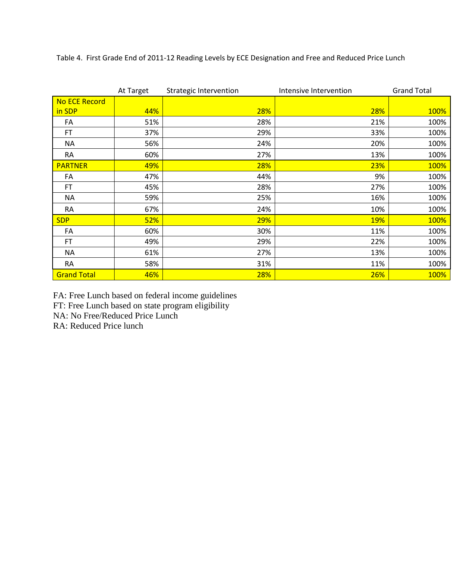|                    | At Target | <b>Strategic Intervention</b> | Intensive Intervention | <b>Grand Total</b> |
|--------------------|-----------|-------------------------------|------------------------|--------------------|
| No ECE Record      |           |                               |                        |                    |
| in SDP             | 44%       | 28%                           | 28%                    | 100%               |
| FA                 | 51%       | 28%                           | 21%                    | 100%               |
| <b>FT</b>          | 37%       | 29%                           | 33%                    | 100%               |
| <b>NA</b>          | 56%       | 24%                           | 20%                    | 100%               |
| <b>RA</b>          | 60%       | 27%                           | 13%                    | 100%               |
| <b>PARTNER</b>     | 49%       | 28%                           | 23%                    | 100%               |
| FA                 | 47%       | 44%                           | 9%                     | 100%               |
| <b>FT</b>          | 45%       | 28%                           | 27%                    | 100%               |
| ΝA                 | 59%       | 25%                           | 16%                    | 100%               |
| <b>RA</b>          | 67%       | 24%                           | 10%                    | 100%               |
| <b>SDP</b>         | 52%       | 29%                           | <b>19%</b>             | 100%               |
| FA                 | 60%       | 30%                           | 11%                    | 100%               |
| <b>FT</b>          | 49%       | 29%                           | 22%                    | 100%               |
| <b>NA</b>          | 61%       | 27%                           | 13%                    | 100%               |
| <b>RA</b>          | 58%       | 31%                           | 11%                    | 100%               |
| <b>Grand Total</b> | 46%       | 28%                           | 26%                    | 100%               |

Table 4. First Grade End of 2011-12 Reading Levels by ECE Designation and Free and Reduced Price Lunch

FA: Free Lunch based on federal income guidelines

FT: Free Lunch based on state program eligibility

NA: No Free/Reduced Price Lunch

RA: Reduced Price lunch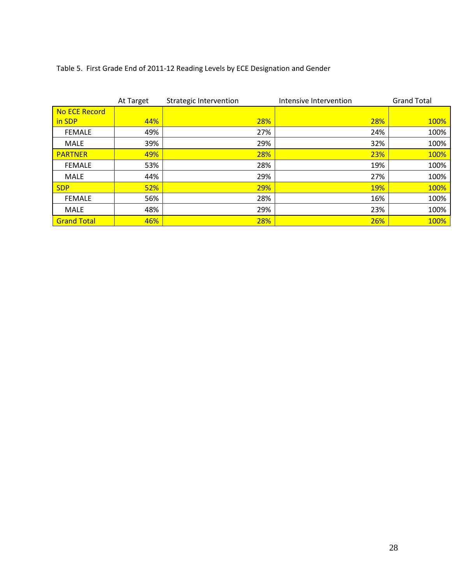## Table 5. First Grade End of 2011-12 Reading Levels by ECE Designation and Gender

|                    | At Target | Strategic Intervention | Intensive Intervention | <b>Grand Total</b> |
|--------------------|-----------|------------------------|------------------------|--------------------|
| No ECE Record      |           |                        |                        |                    |
| in SDP             | 44%       | 28%                    | 28%                    | 100%               |
| <b>FEMALE</b>      | 49%       | 27%                    | 24%                    | 100%               |
| <b>MALE</b>        | 39%       | 29%                    | 32%                    | 100%               |
| <b>PARTNER</b>     | 49%       | 28%                    | 23%                    | 100%               |
| <b>FEMALE</b>      | 53%       | 28%                    | 19%                    | 100%               |
| <b>MALE</b>        | 44%       | 29%                    | 27%                    | 100%               |
| <b>SDP</b>         | 52%       | 29%                    | <b>19%</b>             | 100%               |
| <b>FEMALE</b>      | 56%       | 28%                    | 16%                    | 100%               |
| <b>MALE</b>        | 48%       | 29%                    | 23%                    | 100%               |
| <b>Grand Total</b> | 46%       | 28%                    | 26%                    | 100%               |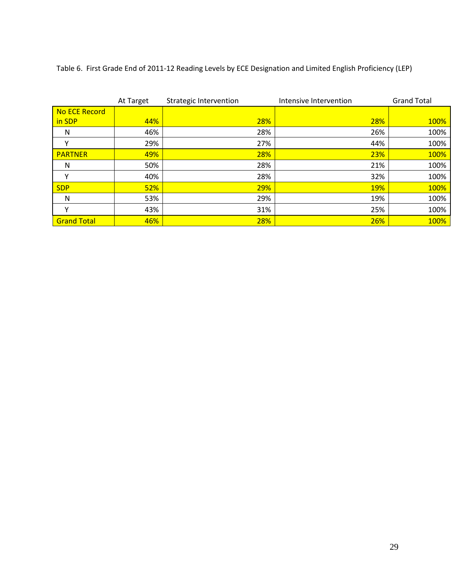Table 6. First Grade End of 2011-12 Reading Levels by ECE Designation and Limited English Proficiency (LEP)

|                    | At Target | <b>Strategic Intervention</b> | Intensive Intervention | <b>Grand Total</b> |
|--------------------|-----------|-------------------------------|------------------------|--------------------|
| No ECE Record      |           |                               |                        |                    |
| in SDP             | 44%       | 28%                           | <b>28%</b>             | 100%               |
| N                  | 46%       | 28%                           | 26%                    | 100%               |
| $\checkmark$       | 29%       | 27%                           | 44%                    | 100%               |
| <b>PARTNER</b>     | 49%       | 28%                           | 23%                    | 100%               |
| N                  | 50%       | 28%                           | 21%                    | 100%               |
| $\checkmark$       | 40%       | 28%                           | 32%                    | 100%               |
| <b>SDP</b>         | 52%       | 29%                           | 19%                    | 100%               |
| N                  | 53%       | 29%                           | 19%                    | 100%               |
| $\checkmark$       | 43%       | 31%                           | 25%                    | 100%               |
| <b>Grand Total</b> | 46%       | 28%                           | 26%                    | 100%               |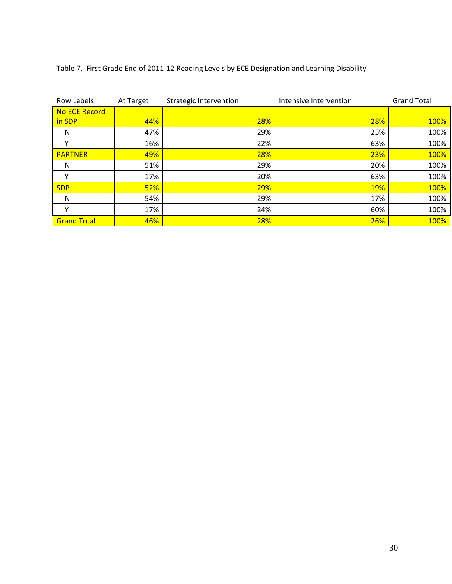## Table 7. First Grade End of 2011-12 Reading Levels by ECE Designation and Learning Disability

| Row Labels         | At Target | Strategic Intervention | Intensive Intervention |            | <b>Grand Total</b> |
|--------------------|-----------|------------------------|------------------------|------------|--------------------|
| No ECE Record      |           |                        |                        |            |                    |
| in SDP             | 44%       | 28%                    |                        | 28%        | 100%               |
| N                  | 47%       | 29%                    |                        | 25%        | 100%               |
|                    | 16%       | 22%                    |                        | 63%        | 100%               |
| <b>PARTNER</b>     | 49%       | 28%                    |                        | 23%        | 100%               |
| N                  | 51%       | 29%                    |                        | 20%        | 100%               |
|                    | 17%       | 20%                    |                        | 63%        | 100%               |
| <b>SDP</b>         | 52%       | 29%                    |                        | <b>19%</b> | 100%               |
| N                  | 54%       | 29%                    |                        | 17%        | 100%               |
|                    | 17%       | 24%                    |                        | 60%        | 100%               |
| <b>Grand Total</b> | 46%       | 28%                    |                        | 26%        | 100%               |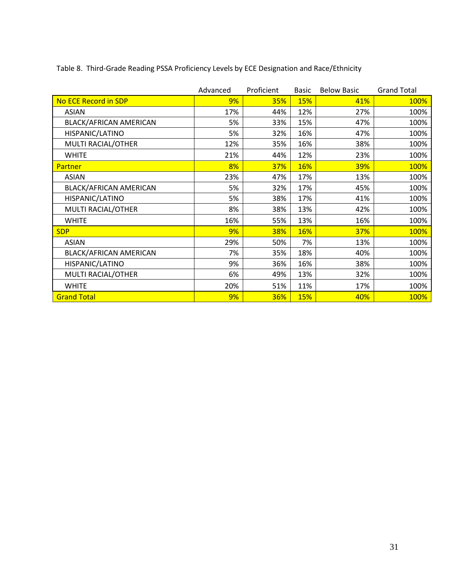|                             | Advanced | Proficient | Basic      | <b>Below Basic</b> | <b>Grand Total</b> |
|-----------------------------|----------|------------|------------|--------------------|--------------------|
| <b>No ECE Record in SDP</b> | 9%       | <b>35%</b> | <b>15%</b> | 41%                | 100%               |
| <b>ASIAN</b>                | 17%      | 44%        | 12%        | 27%                | 100%               |
| BLACK/AFRICAN AMERICAN      | 5%       | 33%        | 15%        | 47%                | 100%               |
| HISPANIC/LATINO             | 5%       | 32%        | 16%        | 47%                | 100%               |
| MULTI RACIAL/OTHER          | 12%      | 35%        | 16%        | 38%                | 100%               |
| <b>WHITE</b>                | 21%      | 44%        | 12%        | 23%                | 100%               |
| Partner                     | 8%       | 37%        | 16%        | 39%                | 100%               |
| <b>ASIAN</b>                | 23%      | 47%        | 17%        | 13%                | 100%               |
| BLACK/AFRICAN AMERICAN      | 5%       | 32%        | 17%        | 45%                | 100%               |
| HISPANIC/LATINO             | 5%       | 38%        | 17%        | 41%                | 100%               |
| MULTI RACIAL/OTHER          | 8%       | 38%        | 13%        | 42%                | 100%               |
| <b>WHITE</b>                | 16%      | 55%        | 13%        | 16%                | 100%               |
| <b>SDP</b>                  | 9%       | 38%        | <b>16%</b> | 37%                | 100%               |
| <b>ASIAN</b>                | 29%      | 50%        | 7%         | 13%                | 100%               |
| BLACK/AFRICAN AMERICAN      | 7%       | 35%        | 18%        | 40%                | 100%               |
| HISPANIC/LATINO             | 9%       | 36%        | 16%        | 38%                | 100%               |
| MULTI RACIAL/OTHER          | 6%       | 49%        | 13%        | 32%                | 100%               |
| <b>WHITE</b>                | 20%      | 51%        | 11%        | 17%                | 100%               |
| <b>Grand Total</b>          | 9%       | 36%        | <b>15%</b> | 40%                | 100%               |

Table 8. Third-Grade Reading PSSA Proficiency Levels by ECE Designation and Race/Ethnicity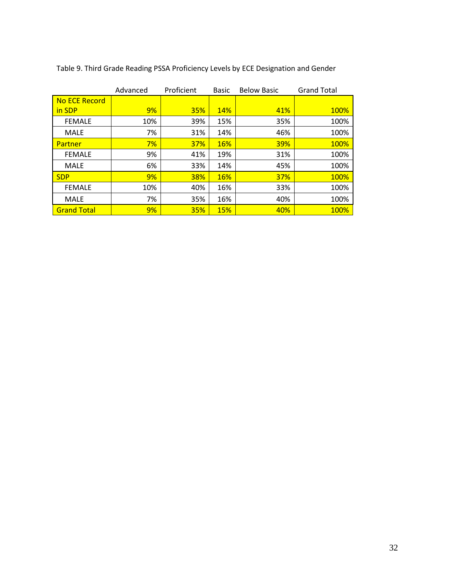|                      | Advanced | Proficient | <b>Basic</b> | <b>Below Basic</b> | <b>Grand Total</b> |
|----------------------|----------|------------|--------------|--------------------|--------------------|
| <b>No ECE Record</b> |          |            |              |                    |                    |
| in SDP               | 9%       | <b>35%</b> | <b>14%</b>   | 41%                | <b>100%</b>        |
| <b>FEMALE</b>        | 10%      | 39%        | 15%          | 35%                | 100%               |
| <b>MALE</b>          | 7%       | 31%        | 14%          | 46%                | 100%               |
| Partner              | 7%       | 37%        | <b>16%</b>   | <b>39%</b>         | 100%               |
| <b>FEMALE</b>        | 9%       | 41%        | 19%          | 31%                | 100%               |
| <b>MALE</b>          | 6%       | 33%        | 14%          | 45%                | 100%               |
| <b>SDP</b>           | 9%       | <b>38%</b> | <b>16%</b>   | <b>37%</b>         | 100%               |
| <b>FEMALE</b>        | 10%      | 40%        | 16%          | 33%                | 100%               |
| <b>MALE</b>          | 7%       | 35%        | 16%          | 40%                | 100%               |
| <b>Grand Total</b>   | 9%       | <b>35%</b> | <b>15%</b>   | 40%                | 100%               |

Table 9. Third Grade Reading PSSA Proficiency Levels by ECE Designation and Gender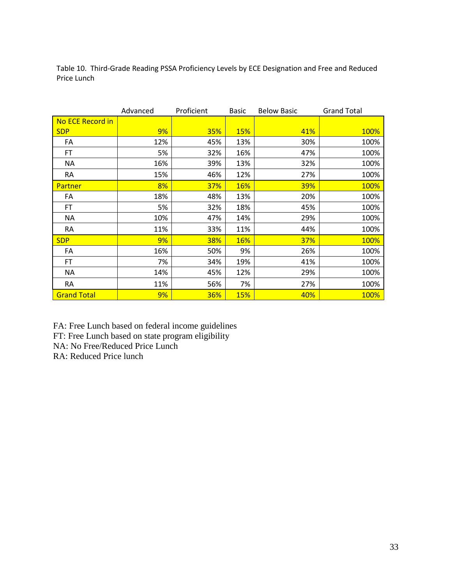Table 10. Third-Grade Reading PSSA Proficiency Levels by ECE Designation and Free and Reduced Price Lunch

|                         | Advanced | Proficient | <b>Basic</b> | <b>Below Basic</b> | <b>Grand Total</b> |
|-------------------------|----------|------------|--------------|--------------------|--------------------|
| <b>No ECE Record in</b> |          |            |              |                    |                    |
| <b>SDP</b>              | 9%       | 35%        | <b>15%</b>   | 41%                | 100%               |
| FA                      | 12%      | 45%        | 13%          | 30%                | 100%               |
| FT.                     | 5%       | 32%        | 16%          | 47%                | 100%               |
| <b>NA</b>               | 16%      | 39%        | 13%          | 32%                | 100%               |
| <b>RA</b>               | 15%      | 46%        | 12%          | 27%                | 100%               |
| Partner                 | 8%       | 37%        | <b>16%</b>   | <b>39%</b>         | 100%               |
| FA                      | 18%      | 48%        | 13%          | 20%                | 100%               |
| FT.                     | 5%       | 32%        | 18%          | 45%                | 100%               |
| ΝA                      | 10%      | 47%        | 14%          | 29%                | 100%               |
| RA                      | 11%      | 33%        | 11%          | 44%                | 100%               |
| <b>SDP</b>              | 9%       | <b>38%</b> | <b>16%</b>   | <b>37%</b>         | 100%               |
| FA                      | 16%      | 50%        | 9%           | 26%                | 100%               |
| FT.                     | 7%       | 34%        | 19%          | 41%                | 100%               |
| <b>NA</b>               | 14%      | 45%        | 12%          | 29%                | 100%               |
| RA                      | 11%      | 56%        | 7%           | 27%                | 100%               |
| <b>Grand Total</b>      | 9%       | 36%        | <b>15%</b>   | 40%                | 100%               |

FA: Free Lunch based on federal income guidelines

FT: Free Lunch based on state program eligibility

NA: No Free/Reduced Price Lunch

RA: Reduced Price lunch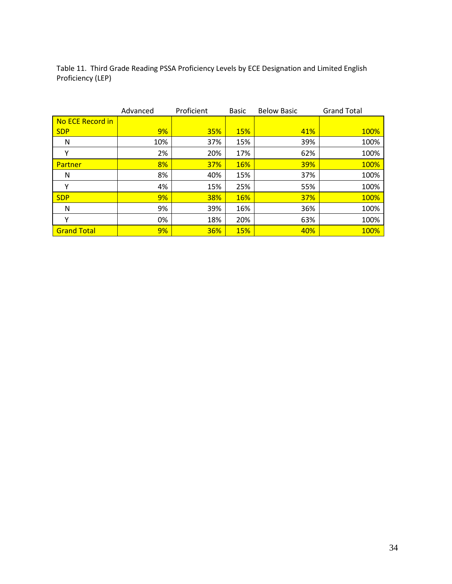Table 11. Third Grade Reading PSSA Proficiency Levels by ECE Designation and Limited English Proficiency (LEP)

|                    | Advanced | Proficient | <b>Basic</b> | <b>Below Basic</b> | <b>Grand Total</b> |
|--------------------|----------|------------|--------------|--------------------|--------------------|
| No ECE Record in   |          |            |              |                    |                    |
| <b>SDP</b>         | 9%       | <b>35%</b> | <b>15%</b>   | 41%                | <b>100%</b>        |
| N                  | 10%      | 37%        | 15%          | 39%                | 100%               |
| Υ                  | 2%       | 20%        | 17%          | 62%                | 100%               |
| <b>Partner</b>     | 8%       | <b>37%</b> | <b>16%</b>   | <b>39%</b>         | 100%               |
| N                  | 8%       | 40%        | 15%          | 37%                | 100%               |
| Υ                  | 4%       | 15%        | 25%          | 55%                | 100%               |
| <b>SDP</b>         | 9%       | 38%        | <b>16%</b>   | <b>37%</b>         | 100%               |
| N                  | 9%       | 39%        | 16%          | 36%                | 100%               |
| Υ                  | 0%       | 18%        | 20%          | 63%                | 100%               |
| <b>Grand Total</b> | 9%       | <b>36%</b> | <b>15%</b>   | 40%                | 100%               |